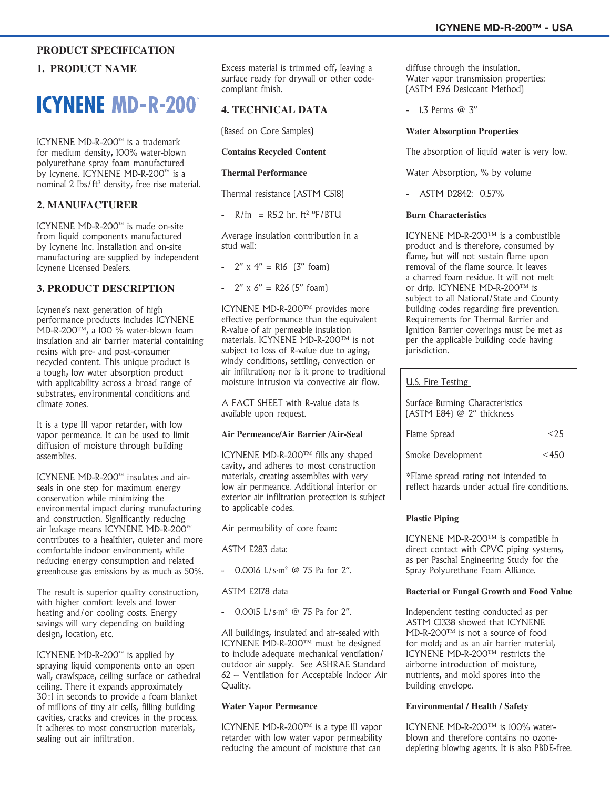## **PRODUCT SPECIFICATION**

## **1. PRODUCT NAME**

# **ICYNENE MD-R-200**

ICYNENE MD-R-200™ is a trademark for medium density, 100% water-blown polyurethane spray foam manufactured by Icynene. ICYNENE MD-R-200™ is a nominal 2 lbs/ft<sup>3</sup> density, free rise material.

## **2. MANUFACTURER**

ICYNENE MD-R-200™ is made on-site from liquid components manufactured by Icynene Inc. Installation and on-site manufacturing are supplied by independent Icynene Licensed Dealers.

## **3. PRODUCT DESCRIPTION**

Icynene's next generation of high performance products includes ICYNENE MD-R-200™, a 100 % water-blown foam insulation and air barrier material containing resins with pre- and post-consumer recycled content. This unique product is a tough, low water absorption product with applicability across a broad range of substrates, environmental conditions and climate zones.

It is a type III vapor retarder, with low vapor permeance. It can be used to limit diffusion of moisture through building assemblies.

ICYNENE MD-R-200™ insulates and airseals in one step for maximum energy conservation while minimizing the environmental impact during manufacturing and construction. Significantly reducing air leakage means ICYNENE MD-R-200™ contributes to a healthier, quieter and more comfortable indoor environment, while reducing energy consumption and related greenhouse gas emissions by as much as 50%.

The result is superior quality construction, with higher comfort levels and lower heating and/or cooling costs. Energy savings will vary depending on building design, location, etc.

ICYNENE MD-R-200™ is applied by spraying liquid components onto an open wall, crawlspace, ceiling surface or cathedral ceiling. There it expands approximately 30:1 in seconds to provide a foam blanket of millions of tiny air cells, filling building cavities, cracks and crevices in the process. It adheres to most construction materials, sealing out air infiltration.

Excess material is trimmed off, leaving a surface ready for drywall or other codecompliant finish.

## **4. TECHNICAL DATA**

(Based on Core Samples)

#### **Contains Recycled Content**

#### **Thermal Performance**

Thermal resistance (ASTM C518)

 $-$  R/in  $=$  R5.2 hr. ft<sup>2</sup> °F/BTU

Average insulation contribution in a stud wall:

-  $2''$  x  $4''$  = R16  $[3''$  foam)

#### -  $2'' \times 6'' = R26 [5'' \text{foam}]$

ICYNENE MD-R-200™ provides more effective performance than the equivalent R-value of air permeable insulation materials. ICYNENE MD-R-200™ is not subject to loss of R-value due to aging, windy conditions, settling, convection or air infiltration; nor is it prone to traditional moisture intrusion via convective air flow.

A FACT SHEET with R-value data is available upon request.

#### **Air Permeance/Air Barrier /Air-Seal**

ICYNENE MD-R-200™ fills any shaped cavity, and adheres to most construction materials, creating assemblies with very low air permeance. Additional interior or exterior air infiltration protection is subject to applicable codes.

Air permeability of core foam:

ASTM E283 data:

- 0.0016 L/s·m<sup>2</sup> @ 75 Pa for 2".

#### ASTM E2178 data

- 0.0015 L/s·m<sup>2</sup> @ 75 Pa for 2".

All buildings, insulated and air-sealed with ICYNENE MD-R-200™ must be designed to include adequate mechanical ventilation/ outdoor air supply. See ASHRAE Standard 62 – Ventilation for Acceptable Indoor Air Quality.

#### **Water Vapor Permeance**

ICYNENE MD-R-200™ is a type III vapor retarder with low water vapor permeability reducing the amount of moisture that can

diffuse through the insulation. Water vapor transmission properties: (ASTM E96 Desiccant Method)

- 1.3 Perms @ 3"

#### **Water Absorption Properties**

The absorption of liquid water is very low.

Water Absorption, % by volume

- ASTM D2842: 0.57%

#### **Burn Characteristics**

ICYNENE MD-R-200™ is a combustible product and is therefore, consumed by flame, but will not sustain flame upon removal of the flame source. It leaves a charred foam residue. It will not melt or drip. ICYNENE MD-R-200™ is subject to all National/State and County building codes regarding fire prevention. Requirements for Thermal Barrier and Ignition Barrier coverings must be met as per the applicable building code having jurisdiction.

| U.S. Fire Testing                                                                     |         |  |
|---------------------------------------------------------------------------------------|---------|--|
| Surface Burning Characteristics<br>(ASTM E84) @ 2" thickness                          |         |  |
| Flame Spread                                                                          | < 2.5   |  |
| Smoke Development                                                                     | $<$ 450 |  |
| *Flame spread rating not intended to<br>reflect hazards under actual fire conditions. |         |  |

#### **Plastic Piping**

ICYNENE MD-R-200™ is compatible in direct contact with CPVC piping systems, as per Paschal Engineering Study for the Spray Polyurethane Foam Alliance.

#### **Bacterial or Fungal Growth and Food Value**

Independent testing conducted as per ASTM C1338 showed that ICYNENE MD-R-200™ is not a source of food for mold; and as an air barrier material, ICYNENE MD-R-200™ restricts the airborne introduction of moisture, nutrients, and mold spores into the building envelope.

#### **Environmental / Health / Safety**

ICYNENE MD-R-200™ is 100% waterblown and therefore contains no ozonedepleting blowing agents. It is also PBDE-free.